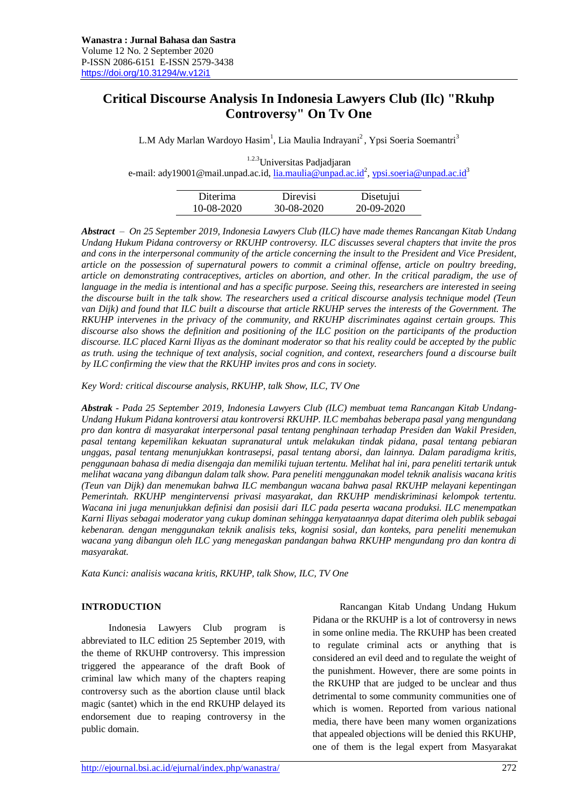# **Critical Discourse Analysis In Indonesia Lawyers Club (Ilc) "Rkuhp Controversy" On Tv One**

L.M Ady Marlan Wardoyo Hasim<sup>1</sup>, Lia Maulia Indrayani<sup>2</sup>, Ypsi Soeria Soemantri<sup>3</sup>

1.2.3Universitas Padjadjaran e-mail: [ady19001@mail.unpad.ac.id,](mailto:ady19001@mail.unpad.ac.id) <u>lia.maulia@unpad.ac.id<sup>2</sup>, [ypsi.soeria@unpad.ac.id](mailto:ypsi.soeria@unpad.ac.id)</u><sup>3</sup>

| Diterima   | Direvisi   | Disetujui  |
|------------|------------|------------|
| 10-08-2020 | 30-08-2020 | 20-09-2020 |

*Abstract – On 25 September 2019, Indonesia Lawyers Club (ILC) have made themes Rancangan Kitab Undang Undang Hukum Pidana controversy or RKUHP controversy. ILC discusses several chapters that invite the pros and cons in the interpersonal community of the article concerning the insult to the President and Vice President, article on the possession of supernatural powers to commit a criminal offense, article on poultry breeding, article on demonstrating contraceptives, articles on abortion, and other. In the critical paradigm, the use of language in the media is intentional and has a specific purpose. Seeing this, researchers are interested in seeing the discourse built in the talk show. The researchers used a critical discourse analysis technique model (Teun van Dijk) and found that ILC built a discourse that article RKUHP serves the interests of the Government. The RKUHP intervenes in the privacy of the community, and RKUHP discriminates against certain groups. This discourse also shows the definition and positioning of the ILC position on the participants of the production discourse. ILC placed Karni Iliyas as the dominant moderator so that his reality could be accepted by the public as truth. using the technique of text analysis, social cognition, and context, researchers found a discourse built by ILC confirming the view that the RKUHP invites pros and cons in society.* 

*Key Word: critical discourse analysis, RKUHP, talk Show, ILC, TV One*

*Abstrak - Pada 25 September 2019, Indonesia Lawyers Club (ILC) membuat tema Rancangan Kitab Undang-Undang Hukum Pidana kontroversi atau kontroversi RKUHP. ILC membahas beberapa pasal yang mengundang pro dan kontra di masyarakat interpersonal pasal tentang penghinaan terhadap Presiden dan Wakil Presiden, pasal tentang kepemilikan kekuatan supranatural untuk melakukan tindak pidana, pasal tentang pebiaran unggas, pasal tentang menunjukkan kontrasepsi, pasal tentang aborsi, dan lainnya. Dalam paradigma kritis, penggunaan bahasa di media disengaja dan memiliki tujuan tertentu. Melihat hal ini, para peneliti tertarik untuk melihat wacana yang dibangun dalam talk show. Para peneliti menggunakan model teknik analisis wacana kritis (Teun van Dijk) dan menemukan bahwa ILC membangun wacana bahwa pasal RKUHP melayani kepentingan Pemerintah. RKUHP mengintervensi privasi masyarakat, dan RKUHP mendiskriminasi kelompok tertentu. Wacana ini juga menunjukkan definisi dan posisii dari ILC pada peserta wacana produksi. ILC menempatkan Karni Iliyas sebagai moderator yang cukup dominan sehingga kenyataannya dapat diterima oleh publik sebagai kebenaran. dengan menggunakan teknik analisis teks, kognisi sosial, dan konteks, para peneliti menemukan wacana yang dibangun oleh ILC yang menegaskan pandangan bahwa RKUHP mengundang pro dan kontra di masyarakat.*

*Kata Kunci: analisis wacana kritis, RKUHP, talk Show, ILC, TV One*

#### **INTRODUCTION**

Indonesia Lawyers Club program is abbreviated to ILC edition 25 September 2019, with the theme of RKUHP controversy. This impression triggered the appearance of the draft Book of criminal law which many of the chapters reaping controversy such as the abortion clause until black magic (santet) which in the end RKUHP delayed its endorsement due to reaping controversy in the public domain.

Rancangan Kitab Undang Undang Hukum Pidana or the RKUHP is a lot of controversy in news in some online media. The RKUHP has been created to regulate criminal acts or anything that is considered an evil deed and to regulate the weight of the punishment. However, there are some points in the RKUHP that are judged to be unclear and thus detrimental to some community communities one of which is women. Reported from various national media, there have been many women organizations that appealed objections will be denied this RKUHP, one of them is the legal expert from Masyarakat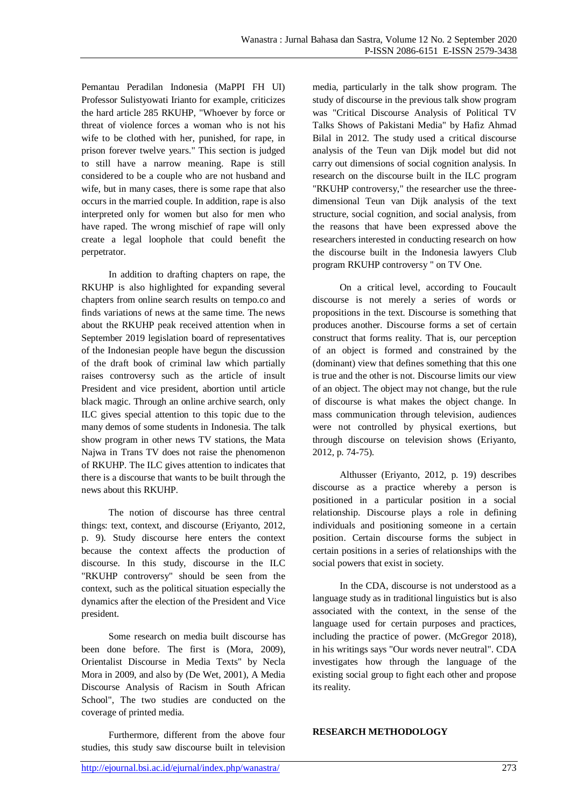Pemantau Peradilan Indonesia (MaPPI FH UI) Professor Sulistyowati Irianto for example, criticizes the hard article 285 RKUHP, "Whoever by force or threat of violence forces a woman who is not his wife to be clothed with her, punished, for rape, in prison forever twelve years." This section is judged to still have a narrow meaning. Rape is still considered to be a couple who are not husband and wife, but in many cases, there is some rape that also occurs in the married couple. In addition, rape is also interpreted only for women but also for men who have raped. The wrong mischief of rape will only create a legal loophole that could benefit the perpetrator.

In addition to drafting chapters on rape, the RKUHP is also highlighted for expanding several chapters from online search results on tempo.co and finds variations of news at the same time. The news about the RKUHP peak received attention when in September 2019 legislation board of representatives of the Indonesian people have begun the discussion of the draft book of criminal law which partially raises controversy such as the article of insult President and vice president, abortion until article black magic. Through an online archive search, only ILC gives special attention to this topic due to the many demos of some students in Indonesia. The talk show program in other news TV stations, the Mata Najwa in Trans TV does not raise the phenomenon of RKUHP. The ILC gives attention to indicates that there is a discourse that wants to be built through the news about this RKUHP.

The notion of discourse has three central things: text, context, and discourse (Eriyanto, 2012, p. 9). Study discourse here enters the context because the context affects the production of discourse. In this study, discourse in the ILC "RKUHP controversy" should be seen from the context, such as the political situation especially the dynamics after the election of the President and Vice president.

Some research on media built discourse has been done before. The first is (Mora, 2009), Orientalist Discourse in Media Texts" by Necla Mora in 2009, and also by (De Wet, 2001), A Media Discourse Analysis of Racism in South African School", The two studies are conducted on the coverage of printed media.

Furthermore, different from the above four studies, this study saw discourse built in television media, particularly in the talk show program. The study of discourse in the previous talk show program was "Critical Discourse Analysis of Political TV Talks Shows of Pakistani Media" by Hafiz Ahmad Bilal in 2012. The study used a critical discourse analysis of the Teun van Dijk model but did not carry out dimensions of social cognition analysis. In research on the discourse built in the ILC program "RKUHP controversy," the researcher use the threedimensional Teun van Dijk analysis of the text structure, social cognition, and social analysis, from the reasons that have been expressed above the researchers interested in conducting research on how the discourse built in the Indonesia lawyers Club program RKUHP controversy " on TV One.

On a critical level, according to Foucault discourse is not merely a series of words or propositions in the text. Discourse is something that produces another. Discourse forms a set of certain construct that forms reality. That is, our perception of an object is formed and constrained by the (dominant) view that defines something that this one is true and the other is not. Discourse limits our view of an object. The object may not change, but the rule of discourse is what makes the object change. In mass communication through television, audiences were not controlled by physical exertions, but through discourse on television shows (Eriyanto, 2012, p. 74-75).

Althusser (Eriyanto, 2012, p. 19) describes discourse as a practice whereby a person is positioned in a particular position in a social relationship. Discourse plays a role in defining individuals and positioning someone in a certain position. Certain discourse forms the subject in certain positions in a series of relationships with the social powers that exist in society.

In the CDA, discourse is not understood as a language study as in traditional linguistics but is also associated with the context, in the sense of the language used for certain purposes and practices, including the practice of power. (McGregor 2018), in his writings says "Our words never neutral". CDA investigates how through the language of the existing social group to fight each other and propose its reality.

# **RESEARCH METHODOLOGY**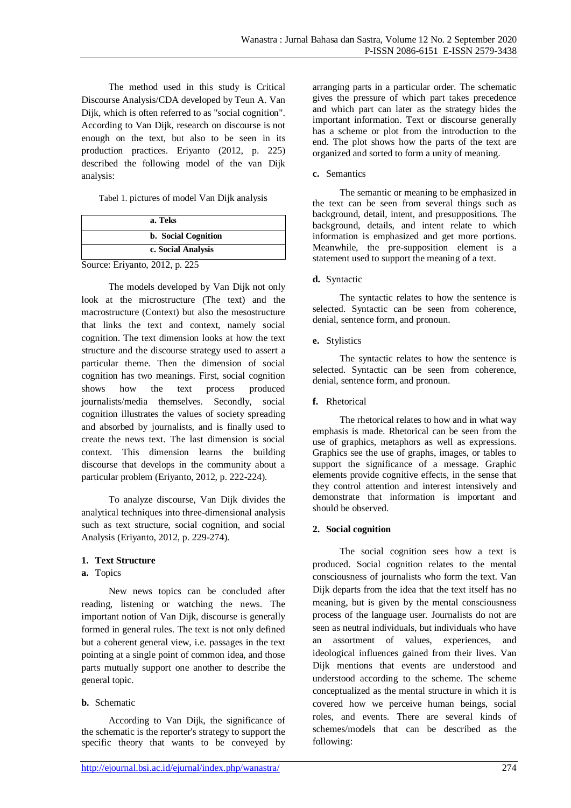The method used in this study is Critical Discourse Analysis/CDA developed by Teun A. Van Dijk, which is often referred to as "social cognition". According to Van Dijk, research on discourse is not enough on the text, but also to be seen in its production practices. Eriyanto (2012, p. 225) described the following model of the van Dijk analysis:

Tabel 1. pictures of model Van Dijk analysis

|                                | a. Teks                    |
|--------------------------------|----------------------------|
|                                | <b>b.</b> Social Cognition |
| c. Social Analysis             |                            |
| Source: Eriyanto, 2012, p. 225 |                            |

The models developed by Van Dijk not only look at the microstructure (The text) and the macrostructure (Context) but also the mesostructure that links the text and context, namely social cognition. The text dimension looks at how the text structure and the discourse strategy used to assert a particular theme. Then the dimension of social cognition has two meanings. First, social cognition shows how the text process produced journalists/media themselves. Secondly, social cognition illustrates the values of society spreading and absorbed by journalists, and is finally used to create the news text. The last dimension is social context. This dimension learns the building discourse that develops in the community about a particular problem (Eriyanto, 2012, p. 222-224).

To analyze discourse, Van Dijk divides the analytical techniques into three-dimensional analysis such as text structure, social cognition, and social Analysis (Eriyanto, 2012, p. 229-274).

# **1. Text Structure**

# **a.** Topics

New news topics can be concluded after reading, listening or watching the news. The important notion of Van Dijk, discourse is generally formed in general rules. The text is not only defined but a coherent general view, i.e. passages in the text pointing at a single point of common idea, and those parts mutually support one another to describe the general topic.

# **b.** Schematic

According to Van Dijk, the significance of the schematic is the reporter's strategy to support the specific theory that wants to be conveyed by arranging parts in a particular order. The schematic gives the pressure of which part takes precedence and which part can later as the strategy hides the important information. Text or discourse generally has a scheme or plot from the introduction to the end. The plot shows how the parts of the text are organized and sorted to form a unity of meaning.

# **c.** Semantics

The semantic or meaning to be emphasized in the text can be seen from several things such as background, detail, intent, and presuppositions. The background, details, and intent relate to which information is emphasized and get more portions. Meanwhile, the pre-supposition element is a statement used to support the meaning of a text.

# **d.** Syntactic

The syntactic relates to how the sentence is selected. Syntactic can be seen from coherence, denial, sentence form, and pronoun.

# **e.** Stylistics

The syntactic relates to how the sentence is selected. Syntactic can be seen from coherence, denial, sentence form, and pronoun.

# **f.** Rhetorical

The rhetorical relates to how and in what way emphasis is made. Rhetorical can be seen from the use of graphics, metaphors as well as expressions. Graphics see the use of graphs, images, or tables to support the significance of a message. Graphic elements provide cognitive effects, in the sense that they control attention and interest intensively and demonstrate that information is important and should be observed.

# **2. Social cognition**

The social cognition sees how a text is produced. Social cognition relates to the mental consciousness of journalists who form the text. Van Dijk departs from the idea that the text itself has no meaning, but is given by the mental consciousness process of the language user. Journalists do not are seen as neutral individuals, but individuals who have an assortment of values, experiences, and ideological influences gained from their lives. Van Dijk mentions that events are understood and understood according to the scheme. The scheme conceptualized as the mental structure in which it is covered how we perceive human beings, social roles, and events. There are several kinds of schemes/models that can be described as the following: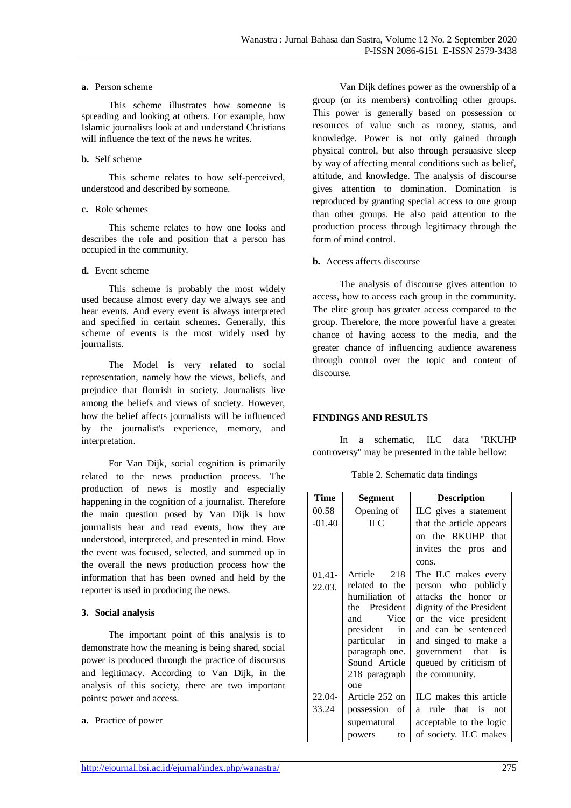#### **a.** Person scheme

This scheme illustrates how someone is spreading and looking at others. For example, how Islamic journalists look at and understand Christians will influence the text of the news he writes.

#### **b.** Self scheme

This scheme relates to how self-perceived, understood and described by someone.

#### **c.** Role schemes

This scheme relates to how one looks and describes the role and position that a person has occupied in the community.

#### **d.** Event scheme

This scheme is probably the most widely used because almost every day we always see and hear events. And every event is always interpreted and specified in certain schemes. Generally, this scheme of events is the most widely used by journalists.

The Model is very related to social representation, namely how the views, beliefs, and prejudice that flourish in society. Journalists live among the beliefs and views of society. However, how the belief affects journalists will be influenced by the journalist's experience, memory, and interpretation.

For Van Dijk, social cognition is primarily related to the news production process. The production of news is mostly and especially happening in the cognition of a journalist. Therefore the main question posed by Van Dijk is how journalists hear and read events, how they are understood, interpreted, and presented in mind. How the event was focused, selected, and summed up in the overall the news production process how the information that has been owned and held by the reporter is used in producing the news.

# **3. Social analysis**

The important point of this analysis is to demonstrate how the meaning is being shared, social power is produced through the practice of discursus and legitimacy. According to Van Dijk, in the analysis of this society, there are two important points: power and access.

#### **a.** Practice of power

Van Dijk defines power as the ownership of a group (or its members) controlling other groups. This power is generally based on possession or resources of value such as money, status, and knowledge. Power is not only gained through physical control, but also through persuasive sleep by way of affecting mental conditions such as belief, attitude, and knowledge. The analysis of discourse gives attention to domination. Domination is reproduced by granting special access to one group than other groups. He also paid attention to the production process through legitimacy through the form of mind control.

### **b.** Access affects discourse

The analysis of discourse gives attention to access, how to access each group in the community. The elite group has greater access compared to the group. Therefore, the more powerful have a greater chance of having access to the media, and the greater chance of influencing audience awareness through control over the topic and content of discourse.

# **FINDINGS AND RESULTS**

In a schematic, ILC data "RKUHP controversy" may be presented in the table bellow:

|  | Table 2. Schematic data findings |  |  |
|--|----------------------------------|--|--|
|--|----------------------------------|--|--|

| Time      | <b>Segment</b>   | <b>Description</b>       |
|-----------|------------------|--------------------------|
| 00.58     | Opening of       | ILC gives a statement    |
| $-01.40$  | <b>ILC</b>       | that the article appears |
|           |                  | on the RKUHP that        |
|           |                  | invites the pros and     |
|           |                  | cons.                    |
| $01.41 -$ | Article 218      | The ILC makes every      |
| 22.03.    | related to the   | person who publicly      |
|           | humiliation of   | attacks the honor or     |
|           | the President    | dignity of the President |
|           | Vice<br>and      | or the vice president    |
|           | president<br>in  | and can be sentenced     |
|           | particular<br>in | and singed to make a     |
|           | paragraph one.   | government that is       |
|           | Sound Article    | queued by criticism of   |
|           | 218 paragraph    | the community.           |
|           | one              |                          |
| 22.04-    | Article 252 on   | ILC makes this article   |
| 33.24     | possession of    | a rule that is not       |
|           | supernatural     | acceptable to the logic  |
|           | powers<br>to     | of society. ILC makes    |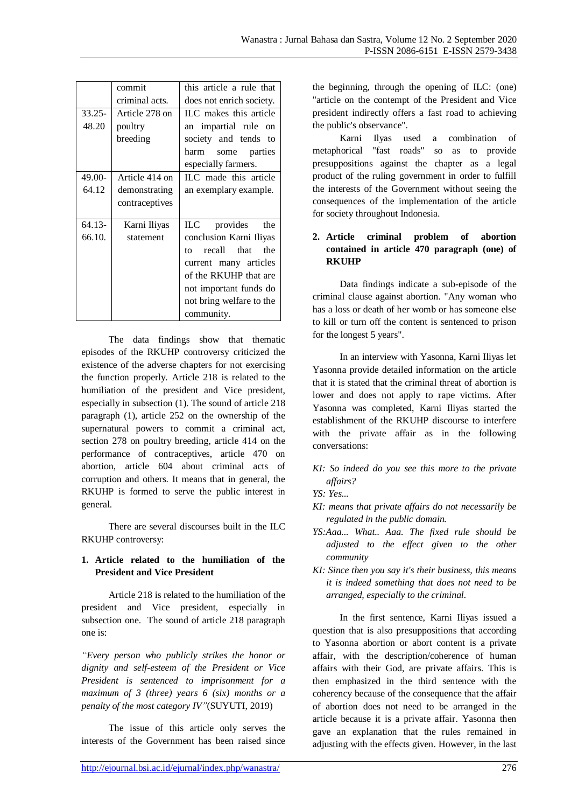|           | commit         | this article a rule that  |
|-----------|----------------|---------------------------|
|           | criminal acts. | does not enrich society.  |
| $33.25 -$ | Article 278 on | ILC makes this article    |
| 48.20     | poultry        | an impartial rule on      |
|           | breeding       | society and tends to      |
|           |                | harm<br>some parties      |
|           |                | especially farmers.       |
| 49.00-    | Article 414 on | ILC made this article     |
| 64.12     | demonstrating  | an exemplary example.     |
|           | contraceptives |                           |
|           |                |                           |
| $64.13-$  | Karni Iliyas   | ILC __<br>provides the    |
| 66.10.    | statement      | conclusion Karni Iliyas   |
|           |                | recall that<br>the<br>to. |
|           |                | current many articles     |
|           |                | of the RKUHP that are     |
|           |                | not important funds do    |
|           |                | not bring welfare to the  |
|           |                | community.                |

The data findings show that thematic episodes of the RKUHP controversy criticized the existence of the adverse chapters for not exercising the function properly. Article 218 is related to the humiliation of the president and Vice president, especially in subsection (1). The sound of article 218 paragraph (1), article 252 on the ownership of the supernatural powers to commit a criminal act, section 278 on poultry breeding, article 414 on the performance of contraceptives, article 470 on abortion, article 604 about criminal acts of corruption and others. It means that in general, the RKUHP is formed to serve the public interest in general.

There are several discourses built in the ILC RKUHP controversy:

# **1. Article related to the humiliation of the President and Vice President**

Article 218 is related to the humiliation of the president and Vice president, especially in subsection one. The sound of article 218 paragraph one is:

*"Every person who publicly strikes the honor or dignity and self-esteem of the President or Vice President is sentenced to imprisonment for a maximum of 3 (three) years 6 (six) months or a penalty of the most category IV"*(SUYUTI, 2019)

The issue of this article only serves the interests of the Government has been raised since

the beginning, through the opening of ILC: (one) "article on the contempt of the President and Vice president indirectly offers a fast road to achieving the public's observance".

Karni Ilyas used a combination of metaphorical "fast roads" so as to provide presuppositions against the chapter as a legal product of the ruling government in order to fulfill the interests of the Government without seeing the consequences of the implementation of the article for society throughout Indonesia.

# **2. Article criminal problem of abortion contained in article 470 paragraph (one) of RKUHP**

Data findings indicate a sub-episode of the criminal clause against abortion. "Any woman who has a loss or death of her womb or has someone else to kill or turn off the content is sentenced to prison for the longest 5 years".

In an interview with Yasonna, Karni Iliyas let Yasonna provide detailed information on the article that it is stated that the criminal threat of abortion is lower and does not apply to rape victims. After Yasonna was completed, Karni Iliyas started the establishment of the RKUHP discourse to interfere with the private affair as in the following conversations:

*KI: So indeed do you see this more to the private affairs?*

*YS: Yes...*

- *KI: means that private affairs do not necessarily be regulated in the public domain.*
- *YS:Aaa... What.. Aaa. The fixed rule should be adjusted to the effect given to the other community*
- *KI: Since then you say it's their business, this means it is indeed something that does not need to be arranged, especially to the criminal.*

In the first sentence, Karni Iliyas issued a question that is also presuppositions that according to Yasonna abortion or abort content is a private affair, with the description/coherence of human affairs with their God, are private affairs. This is then emphasized in the third sentence with the coherency because of the consequence that the affair of abortion does not need to be arranged in the article because it is a private affair. Yasonna then gave an explanation that the rules remained in adjusting with the effects given. However, in the last